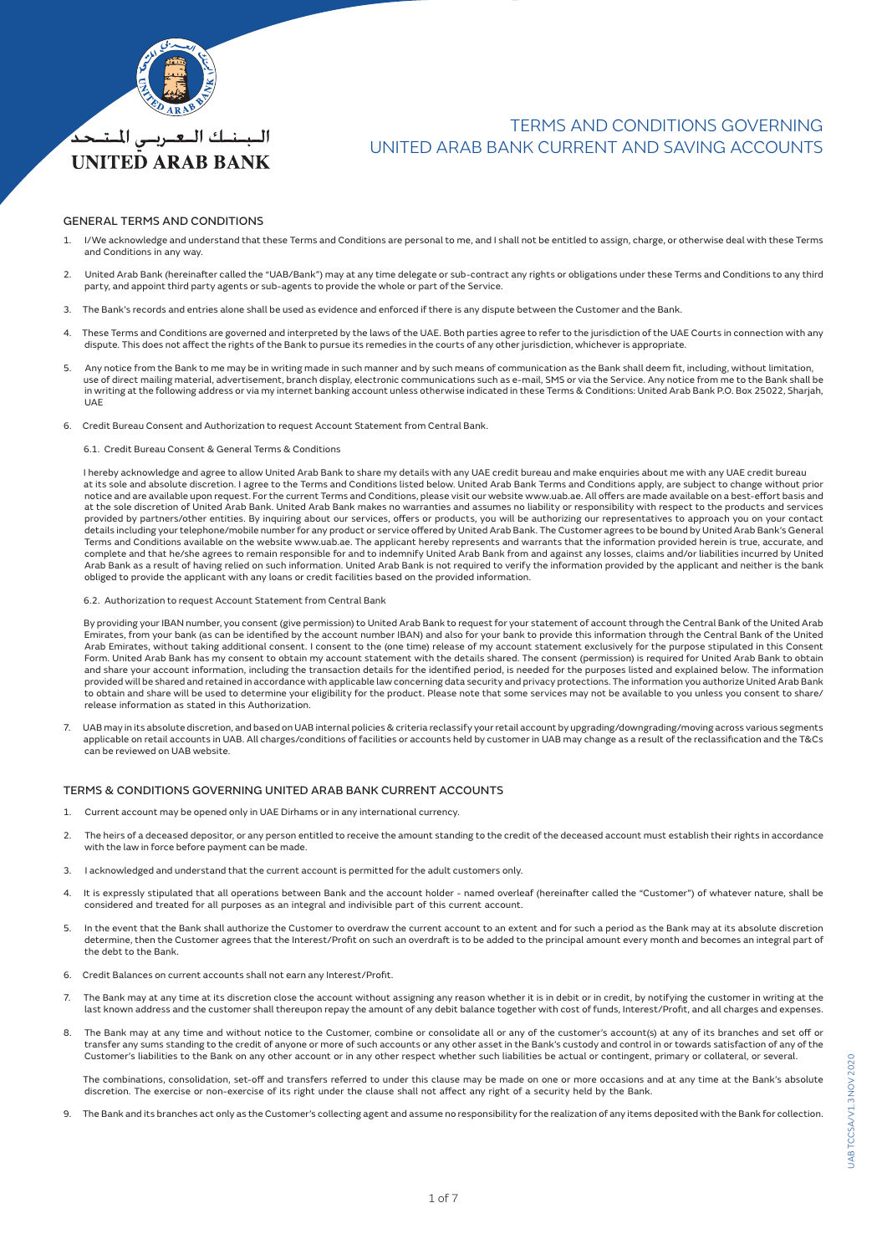

## TERMS AND CONDITIONS GOVERNING UNITED ARAB BANK CURRENT AND SAVING ACCOUNTS

### GENERAL TERMS AND CONDITIONS

*UNITED ARAB BANK* 

- 1. I/We acknowledge and understand that these Terms and Conditions are personal to me, and I shall not be entitled to assign, charge, or otherwise deal with these Terms and Conditions in any way.
- 2. United Arab Bank (hereinafter called the "UAB/Bank") may at any time delegate or sub-contract any rights or obligations under these Terms and Conditions to any third party, and appoint third party agents or sub-agents to provide the whole or part of the Service.
- 3. The Bank's records and entries alone shall be used as evidence and enforced if there is any dispute between the Customer and the Bank.
- 4. These Terms and Conditions are governed and interpreted by the laws of the UAE. Both parties agree to refer to the jurisdiction of the UAE Courts in connection with any dispute. This does not affect the rights of the Bank to pursue its remedies in the courts of any other jurisdiction, whichever is appropriate.
- 5. Any notice from the Bank to me may be in writing made in such manner and by such means of communication as the Bank shall deem fit, including, without limitation, use of direct mailing material, advertisement, branch display, electronic communications such as e-mail, SMS or via the Service. Any notice from me to the Bank shall be in writing at the following address or via my internet banking account unless otherwise indicated in these Terms & Conditions: United Arab Bank P.O. Box 25022, Sharjah, UAE
- 6. Credit Bureau Consent and Authorization to request Account Statement from Central Bank.
	- 6.1. Credit Bureau Consent & General Terms & Conditions

 I hereby acknowledge and agree to allow United Arab Bank to share my details with any UAE credit bureau and make enquiries about me with any UAE credit bureau at its sole and absolute discretion. I agree to the Terms and Conditions listed below. United Arab Bank Terms and Conditions apply, are subject to change without prior notice and are available upon request. For the current Terms and Conditions, please visit our website www.uab.ae. All offers are made available on a best-effort basis and<br>at the sole discretion of United Arab Bank. United provided by partners/other entities. By inquiring about our services, offers or products, you will be authorizing our representatives to approach you on your contact details including your telephone/mobile number for any product or service offered by United Arab Bank. The Customer agrees to be bound by United Arab Bank's General Terms and Conditions available on the website www.uab.ae. The applicant hereby represents and warrants that the information provided herein is true, accurate, and complete and that he/she agrees to remain responsible for and to indemnify United Arab Bank from and against any losses, claims and/or liabilities incurred by United<br>Arab Bank as a result of having relied on such informati obliged to provide the applicant with any loans or credit facilities based on the provided information.

6.2. Authorization to request Account Statement from Central Bank

 By providing your IBAN number, you consent (give permission) to United Arab Bank to request for your statement of account through the Central Bank of the United Arab Emirates, from your bank (as can be identified by the account number IBAN) and also for your bank to provide this information through the Central Bank of the United Arab Emirates, without taking additional consent. I consent to the (one time) release of my account statement exclusively for the purpose stipulated in this Consent Form. United Arab Bank has my consent to obtain my account statement with the details shared. The consent (permission) is required for United Arab Bank to obtain and share your account information, including the transaction details for the identified period, is needed for the purposes listed and explained below. The information provided will be shared and retained in accordance with applicable law concerning data security and privacy protections. The information you authorize United Arab Bank to obtain and share will be used to determine your eligibility for the product. Please note that some services may not be available to you unless you consent to share/ release information as stated in this Authorization.

7. UAB may in its absolute discretion, and based on UAB internal policies & criteria reclassify your retail account by upgrading/downgrading/moving across various segments applicable on retail accounts in UAB. All charges/conditions of facilities or accounts held by customer in UAB may change as a result of the reclassification and the T&Cs can be reviewed on UAB website.

## TERMS & CONDITIONS GOVERNING UNITED ARAB BANK CURRENT ACCOUNTS

- 1. Current account may be opened only in UAE Dirhams or in any international currency.
- 2. The heirs of a deceased depositor, or any person entitled to receive the amount standing to the credit of the deceased account must establish their rights in accordance with the law in force before payment can be made.
- 3. I acknowledged and understand that the current account is permitted for the adult customers only.
- 4. It is expressly stipulated that all operations between Bank and the account holder named overleaf (hereinafter called the "Customer") of whatever nature, shall be considered and treated for all purposes as an integral and indivisible part of this current account.
- In the event that the Bank shall authorize the Customer to overdraw the current account to an extent and for such a period as the Bank may at its absolute discretion determine, then the Customer agrees that the Interest/Profit on such an overdraft is to be added to the principal amount every month and becomes an integral part of the debt to the Bank.
- 6. Credit Balances on current accounts shall not earn any Interest/Profit.
- 7. The Bank may at any time at its discretion close the account without assigning any reason whether it is in debit or in credit, by notifying the customer in writing at the last known address and the customer shall thereupon repay the amount of any debit balance together with cost of funds, Interest/Profit, and all charges and expenses.
- 8. The Bank may at any time and without notice to the Customer, combine or consolidate all or any of the customer's account(s) at any of its branches and set off or transfer any sums standing to the credit of anyone or more of such accounts or any other asset in the Bank's custody and control in or towards satisfaction of any of the Customer's liabilities to the Bank on any other account or in any other respect whether such liabilities be actual or contingent, primary or collateral, or several.

 The combinations, consolidation, set-off and transfers referred to under this clause may be made on one or more occasions and at any time at the Bank's absolute discretion. The exercise or non-exercise of its right under the clause shall not affect any right of a security held by the Bank.

9. The Bank and its branches act only as the Customer's collecting agent and assume no responsibility for the realization of any items deposited with the Bank for collection.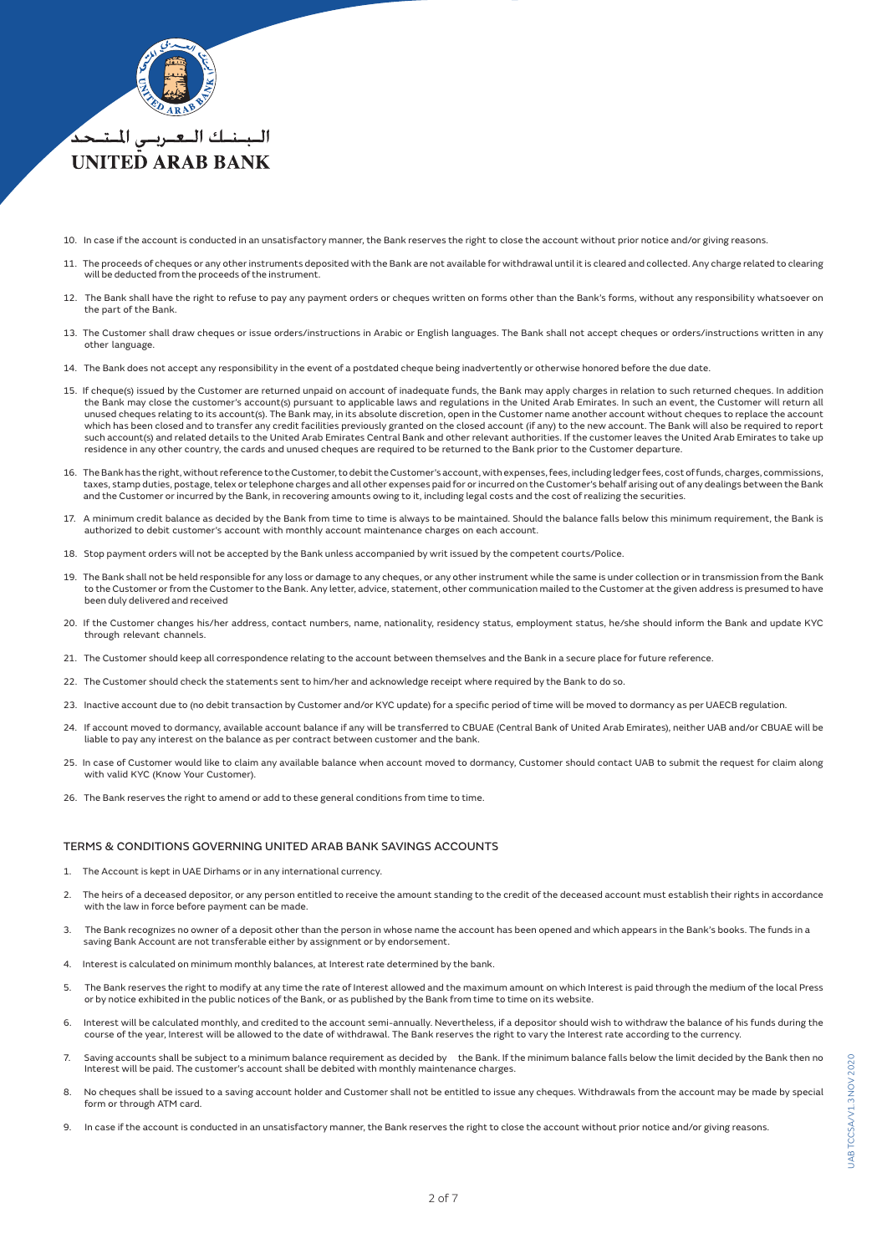

- 10. In case if the account is conducted in an unsatisfactory manner, the Bank reserves the right to close the account without prior notice and/or giving reasons.
- 11. The proceeds of cheques or any other instruments deposited with the Bank are not available for withdrawal until it is cleared and collected. Any charge related to clearing will be deducted from the proceeds of the instrument.
- 12. The Bank shall have the right to refuse to pay any payment orders or cheques written on forms other than the Bank's forms, without any responsibility whatsoever on the part of the Bank.
- 13. The Customer shall draw cheques or issue orders/instructions in Arabic or English languages. The Bank shall not accept cheques or orders/instructions written in any other language.
- 14. The Bank does not accept any responsibility in the event of a postdated cheque being inadvertently or otherwise honored before the due date.
- 15. If cheque(s) issued by the Customer are returned unpaid on account of inadequate funds, the Bank may apply charges in relation to such returned cheques. In addition the Bank may close the customer's account(s) pursuant to applicable laws and regulations in the United Arab Emirates. In such an event, the Customer will return all<br>unused cheques relating to its account(s). The Bank may, which has been closed and to transfer any credit facilities previously granted on the closed account (if any) to the new account. The Bank will also be required to report such account(s) and related details to the United Arab Emirates Central Bank and other relevant authorities. If the customer leaves the United Arab Emirates to take up residence in any other country, the cards and unused cheques are required to be returned to the Bank prior to the Customer departure.
- 16. The Bank has the right, without reference to the Customer, to debit the Customer's account, with expenses, fees, including ledger fees, cost of funds, charges, commissions, taxes, stamp duties, postage, telex or telephone charges and all other expenses paid for or incurred on the Customer's behalf arising out of any dealings between the Bank and the Customer or incurred by the Bank, in recovering amounts owing to it, including legal costs and the cost of realizing the securities.
- 17. A minimum credit balance as decided by the Bank from time to time is always to be maintained. Should the balance falls below this minimum requirement, the Bank is authorized to debit customer's account with monthly account maintenance charges on each account.
- 18. Stop payment orders will not be accepted by the Bank unless accompanied by writ issued by the competent courts/Police.
- 19. The Bank shall not be held responsible for any loss or damage to any cheques, or any other instrument while the same is under collection or in transmission from the Bank to the Customer or from the Customer to the Bank. Any letter, advice, statement, other communication mailed to the Customer at the given address is presumed to have been duly delivered and received
- 20. If the Customer changes his/her address, contact numbers, name, nationality, residency status, employment status, he/she should inform the Bank and update KYC through relevant channels.
- 21. The Customer should keep all correspondence relating to the account between themselves and the Bank in a secure place for future reference.
- 22. The Customer should check the statements sent to him/her and acknowledge receipt where required by the Bank to do so.
- 23. Inactive account due to (no debit transaction by Customer and/or KYC update) for a specific period of time will be moved to dormancy as per UAECB regulation.
- 24. If account moved to dormancy, available account balance if any will be transferred to CBUAE (Central Bank of United Arab Emirates), neither UAB and/or CBUAE will be liable to pay any interest on the balance as per contract between customer and the bank.
- 25. In case of Customer would like to claim any available balance when account moved to dormancy, Customer should contact UAB to submit the request for claim along with valid KYC (Know Your Customer).
- 26. The Bank reserves the right to amend or add to these general conditions from time to time.

### TERMS & CONDITIONS GOVERNING UNITED ARAB BANK SAVINGS ACCOUNTS

- 1. The Account is kept in UAE Dirhams or in any international currency.
- 2. The heirs of a deceased depositor, or any person entitled to receive the amount standing to the credit of the deceased account must establish their rights in accordance with the law in force before payment can be made.
- 3. The Bank recognizes no owner of a deposit other than the person in whose name the account has been opened and which appears in the Bank's books. The funds in a<br>saving Bank Account are not transferable either by assignme
- 4. Interest is calculated on minimum monthly balances, at Interest rate determined by the bank.
- 5. The Bank reserves the right to modify at any time the rate of Interest allowed and the maximum amount on which Interest is paid through the medium of the local Press or by notice exhibited in the public notices of the Bank, or as published by the Bank from time to time on its website.
- 6. Interest will be calculated monthly, and credited to the account semi-annually. Nevertheless, if a depositor should wish to withdraw the balance of his funds during the course of the year, Interest will be allowed to the date of withdrawal. The Bank reserves the right to vary the Interest rate according to the currency.
- 7. Saving accounts shall be subject to a minimum balance requirement as decided by the Bank. If the minimum balance falls below the limit decided by the Bank then no Interest will be paid. The customer's account shall be debited with monthly maintenance charges.
- 8. No cheques shall be issued to a saving account holder and Customer shall not be entitled to issue any cheques. Withdrawals from the account may be made by special form or through ATM card.
- In case if the account is conducted in an unsatisfactory manner, the Bank reserves the right to close the account without prior notice and/or giving reasons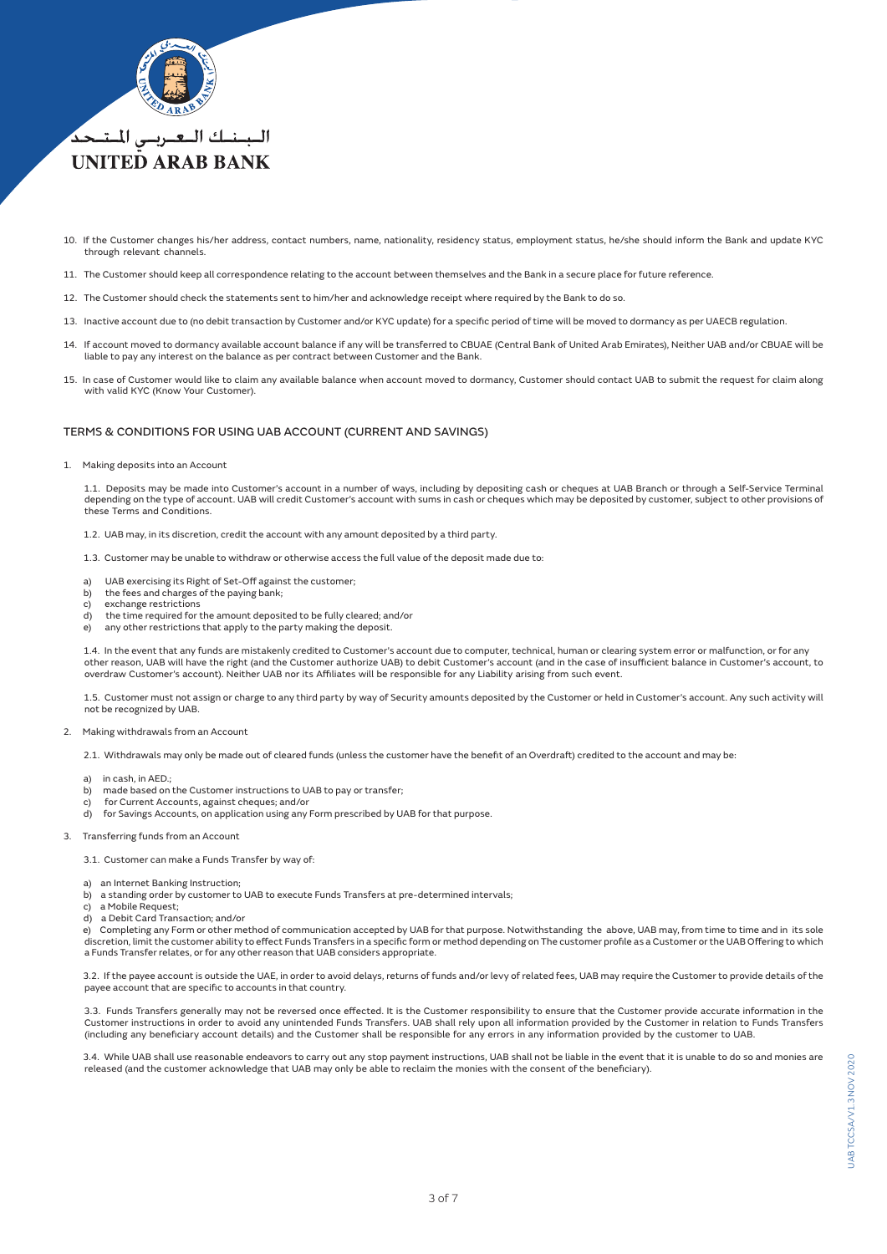

- 10. If the Customer changes his/her address, contact numbers, name, nationality, residency status, employment status, he/she should inform the Bank and update KYC through relevant channels.
- 11. The Customer should keep all correspondence relating to the account between themselves and the Bank in a secure place for future reference.
- 12. The Customer should check the statements sent to him/her and acknowledge receipt where required by the Bank to do so.
- 13. Inactive account due to (no debit transaction by Customer and/or KYC update) for a specific period of time will be moved to dormancy as per UAECB regulation.
- 14. If account moved to dormancy available account balance if any will be transferred to CBUAE (Central Bank of United Arab Emirates), Neither UAB and/or CBUAE will be<br>liable to pay any interest on the balance as per contr
- 15. In case of Customer would like to claim any available balance when account moved to dormancy, Customer should contact UAB to submit the request for claim along with valid KYC (Know Your Customer).

## TERMS & CONDITIONS FOR USING UAB ACCOUNT (CURRENT AND SAVINGS)

1. Making deposits into an Account

 1.1. Deposits may be made into Customer's account in a number of ways, including by depositing cash or cheques at UAB Branch or through a Self-Service Terminal depending on the type of account. UAB will credit Customer's account with sums in cash or cheques which may be deposited by customer, subject to other provisions of these Terms and Conditions.

1.2. UAB may, in its discretion, credit the account with any amount deposited by a third party.

1.3. Customer may be unable to withdraw or otherwise access the full value of the deposit made due to:

- a) UAB exercising its Right of Set-Off against the customer;<br>b) the fees and charges of the paying bank;
- the fees and charges of the paying bank;
- c) exchange restrictions
- d) the time required for the amount deposited to be fully cleared; and/or
- e) any other restrictions that apply to the party making the deposit.

 1.4. In the event that any funds are mistakenly credited to Customer's account due to computer, technical, human or clearing system error or malfunction, or for any other reason, UAB will have the right (and the Customer authorize UAB) to debit Customer's account (and in the case of insufficient balance in Customer's account, to overdraw Customer's account). Neither UAB nor its Affiliates will be responsible for any Liability arising from such event.

 1.5. Customer must not assign or charge to any third party by way of Security amounts deposited by the Customer or held in Customer's account. Any such activity will not be recognized by UAB.

- 2. Making withdrawals from an Account
	- 2.1. Withdrawals may only be made out of cleared funds (unless the customer have the benefit of an Overdraft) credited to the account and may be:
	- a) in cash, in  $AFD$ .
	- b) made based on the Customer instructions to UAB to pay or transfer;
	- for Current Accounts, against cheques; and/or
	- d) for Savings Accounts, on application using any Form prescribed by UAB for that purpose.
- 3. Transferring funds from an Account
	- 3.1. Customer can make a Funds Transfer by way of:
	-
	- a) an Internet Banking Instruction;<br>b) a standing order by customer to
	- a standing order by customer to UAB to execute Funds Transfers at pre-determined intervals;
	- c) a Mobile Request; d) a Debit Card Transaction; and/or

e) Completing any Form or other method of communication accepted by UAB for that purpose. Notwithstanding the above, UAB may, from time to time and in its sole<br>discretion, limit the customer ability to effect Funds Transfe a Funds Transfer relates, or for any other reason that UAB considers appropriate.

 3.2. If the payee account is outside the UAE, in order to avoid delays, returns of funds and/or levy of related fees, UAB may require the Customer to provide details of the payee account that are specific to accounts in that country.

 3.3. Funds Transfers generally may not be reversed once effected. It is the Customer responsibility to ensure that the Customer provide accurate information in the Customer instructions in order to avoid any unintended Funds Transfers. UAB shall rely upon all information provided by the Customer in relation to Funds Transfers<br>(including any beneficiary account details) and the Custom

 3.4. While UAB shall use reasonable endeavors to carry out any stop payment instructions, UAB shall not be liable in the event that it is unable to do so and monies are released (and the customer acknowledge that UAB may only be able to reclaim the monies with the consent of the beneficiary).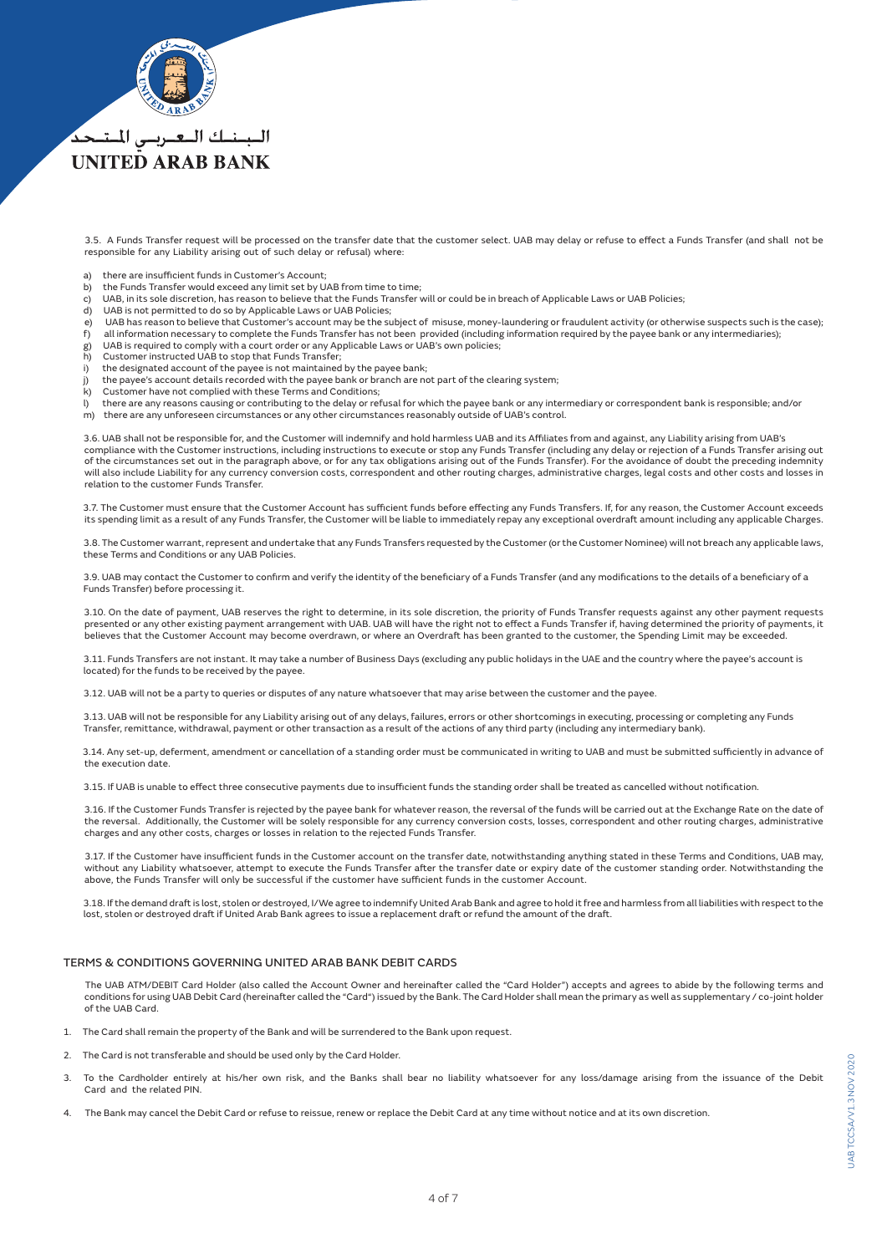

## **UNITED ARAB BANK**

 3.5. A Funds Transfer request will be processed on the transfer date that the customer select. UAB may delay or refuse to effect a Funds Transfer (and shall not be responsible for any Liability arising out of such delay or refusal) where:

- a) there are insufficient funds in Customer's Account;<br>b) the Funds Transfer would exceed any limit set by U.
- the Funds Transfer would exceed any limit set by UAB from time to time;
- c) UAB, in its sole discretion, has reason to believe that the Funds Transfer will or could be in breach of Applicable Laws or UAB Policies;
- d) UAB is not permitted to do so by Applicable Laws or UAB Policies;
- e) UAB has reason to believe that Customer's account may be the subject of misuse, money-laundering or fraudulent activity (or otherwise suspects such is the case);<br>f) all information necessary to complete the Funds Transf
- all information necessary to complete the Funds Transfer has not been provided (including information required by the payee bank or any intermediaries);
- g) UAB is required to comply with a court order or any Applicable Laws or UAB's own policies;<br>h) Customer instructed UAB to stop that Funds Transfer;
- Customer instructed UAB to stop that Funds Transfer:
- i) the designated account of the payee is not maintained by the payee bank;
- j) the payee's account details recorded with the payee bank or branch are not part of the clearing system;
- Customer have not complied with these Terms and Conditions;
- l) there are any reasons causing or contributing to the delay or refusal for which the payee bank or any intermediary or correspondent bank is responsible; and/or
- m) there are any unforeseen circumstances or any other circumstances reasonably outside of UAB's control.

 3.6. UAB shall not be responsible for, and the Customer will indemnify and hold harmless UAB and its Affiliates from and against, any Liability arising from UAB's compliance with the Customer instructions, including instructions to execute or stop any Funds Transfer (including any delay or rejection of a Funds Transfer arising out<br>of the circumstances set out in the paragraph above, will also include Liability for any currency conversion costs, correspondent and other routing charges, administrative charges, legal costs and other costs and losses in relation to the customer Funds Transfer.

3.7. The Customer must ensure that the Customer Account has sufficient funds before effecting any Funds Transfers. If, for any reason, the Customer Account exceeds<br>its spending limit as a result of any Funds Transfer, the

 3.8. The Customer warrant, represent and undertake that any Funds Transfers requested by the Customer (or the Customer Nominee) will not breach any applicable laws, these Terms and Conditions or any UAB Policies.

 3.9. UAB may contact the Customer to confirm and verify the identity of the beneficiary of a Funds Transfer (and any modifications to the details of a beneficiary of a Funds Transfer) before processing it.

3.10. On the date of payment, UAB reserves the right to determine, in its sole discretion, the priority of Funds Transfer requests against any other payment requests<br>presented or any other existing payment arrangement with believes that the Customer Account may become overdrawn, or where an Overdraft has been granted to the customer, the Spending Limit may be exceeded.

 3.11. Funds Transfers are not instant. It may take a number of Business Days (excluding any public holidays in the UAE and the country where the payee's account is located) for the funds to be received by the payee.

3.12. UAB will not be a party to queries or disputes of any nature whatsoever that may arise between the customer and the payee.

 3.13. UAB will not be responsible for any Liability arising out of any delays, failures, errors or other shortcomings in executing, processing or completing any Funds Transfer, remittance, withdrawal, payment or other transaction as a result of the actions of any third party (including any intermediary bank).

 3.14. Any set-up, deferment, amendment or cancellation of a standing order must be communicated in writing to UAB and must be submitted sufficiently in advance of the execution date.

3.15. If UAB is unable to effect three consecutive payments due to insufficient funds the standing order shall be treated as cancelled without notification.

 3.16. If the Customer Funds Transfer is rejected by the payee bank for whatever reason, the reversal of the funds will be carried out at the Exchange Rate on the date of the reversal. Additionally, the Customer will be solely responsible for any currency conversion costs, losses, correspondent and other routing charges, administrative<br>charges and any other costs, charges or losses in relat

 3.17. If the Customer have insufficient funds in the Customer account on the transfer date, notwithstanding anything stated in these Terms and Conditions, UAB may, without any Liability whatsoever, attempt to execute the Funds Transfer after the transfer date or expiry date of the customer standing order. Notwithstanding the above, the Funds Transfer will only be successful if the customer have sufficient funds in the customer Account.

 3.18. If the demand draft is lost, stolen or destroyed, I/We agree to indemnify United Arab Bank and agree to hold it free and harmless from all liabilities with respect to the lost, stolen or destroyed draft if United Arab Bank agrees to issue a replacement draft or refund the amount of the draft.

### TERMS & CONDITIONS GOVERNING UNITED ARAB BANK DEBIT CARDS

 The UAB ATM/DEBIT Card Holder (also called the Account Owner and hereinafter called the "Card Holder") accepts and agrees to abide by the following terms and conditions for using UAB Debit Card (hereinafter called the "Card") issued by the Bank. The Card Holder shall mean the primary as well as supplementary / co-joint holder of the UAB Card.

- 1. The Card shall remain the property of the Bank and will be surrendered to the Bank upon request.
- 2. The Card is not transferable and should be used only by the Card Holder.
- 3. To the Cardholder entirely at his/her own risk, and the Banks shall bear no liability whatsoever for any loss/damage arising from the issuance of the Debit Card and the related PIN.
- 4. The Bank may cancel the Debit Card or refuse to reissue, renew or replace the Debit Card at any time without notice and at its own discretion.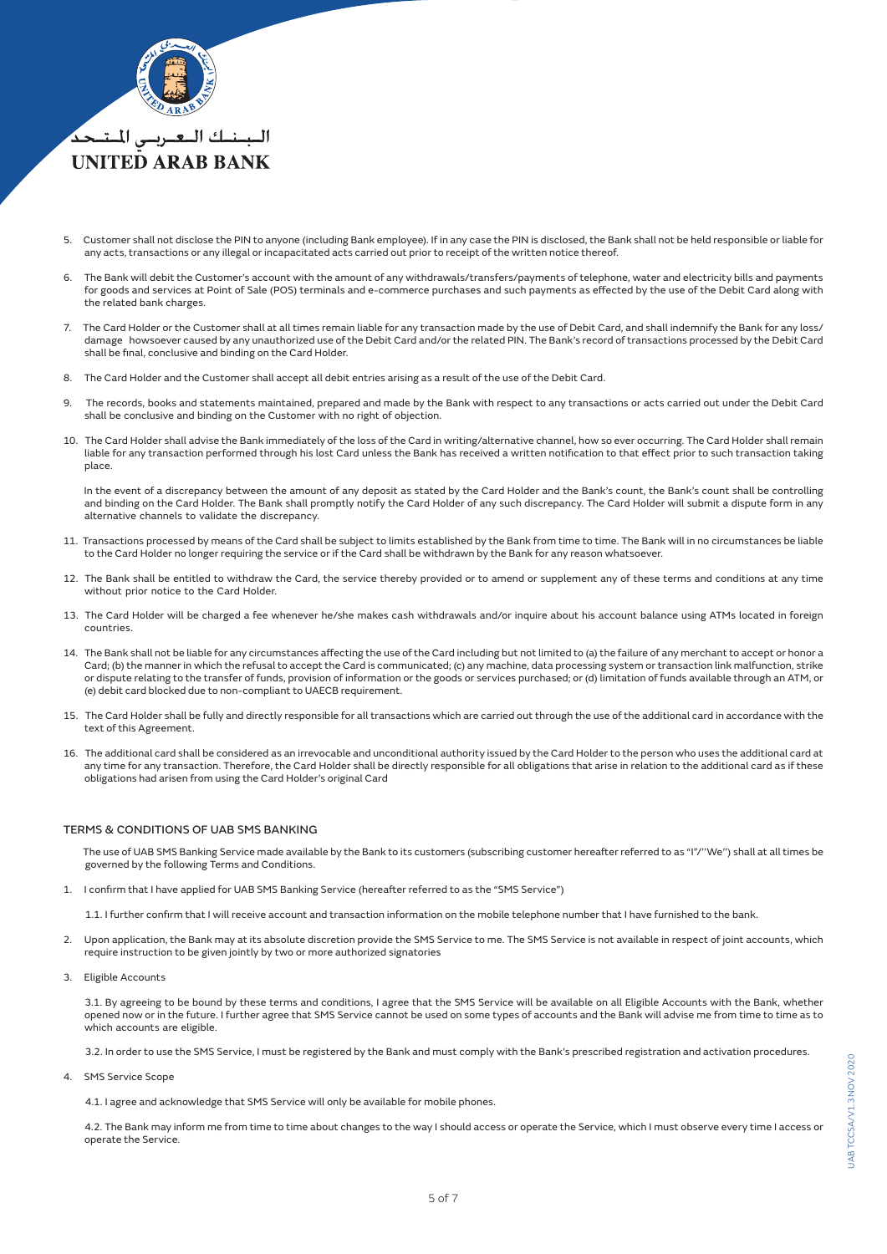

- 5. Customer shall not disclose the PIN to anyone (including Bank employee). If in any case the PIN is disclosed, the Bank shall not be held responsible or liable for any acts, transactions or any illegal or incapacitated acts carried out prior to receipt of the written notice thereof.
- 6. The Bank will debit the Customer's account with the amount of any withdrawals/transfers/payments of telephone, water and electricity bills and payments for goods and services at Point of Sale (POS) terminals and e-commerce purchases and such payments as effected by the use of the Debit Card along with the related bank charges.
- 7. The Card Holder or the Customer shall at all times remain liable for any transaction made by the use of Debit Card, and shall indemnify the Bank for any loss/ damage howsoever caused by any unauthorized use of the Debit Card and/or the related PIN. The Bank's record of transactions processed by the Debit Card shall be final, conclusive and binding on the Card Holder.
- 8. The Card Holder and the Customer shall accept all debit entries arising as a result of the use of the Debit Card.
- 9. The records, books and statements maintained, prepared and made by the Bank with respect to any transactions or acts carried out under the Debit Card shall be conclusive and binding on the Customer with no right of objection.
- 10. The Card Holder shall advise the Bank immediately of the loss of the Card in writing/alternative channel, how so ever occurring. The Card Holder shall remain liable for any transaction performed through his lost Card unless the Bank has received a written notification to that effect prior to such transaction taking place.

 In the event of a discrepancy between the amount of any deposit as stated by the Card Holder and the Bank's count, the Bank's count shall be controlling and binding on the Card Holder. The Bank shall promptly notify the Card Holder of any such discrepancy. The Card Holder will submit a dispute form in any alternative channels to validate the discrepancy.

- 11. Transactions processed by means of the Card shall be subject to limits established by the Bank from time to time. The Bank will in no circumstances be liable to the Card Holder no longer requiring the service or if the Card shall be withdrawn by the Bank for any reason whatsoever.
- 12. The Bank shall be entitled to withdraw the Card, the service thereby provided or to amend or supplement any of these terms and conditions at any time without prior notice to the Card Holder.
- 13. The Card Holder will be charged a fee whenever he/she makes cash withdrawals and/or inquire about his account balance using ATMs located in foreign countries.
- 14. The Bank shall not be liable for any circumstances affecting the use of the Card including but not limited to (a) the failure of any merchant to accept or honor a Card; (b) the manner in which the refusal to accept the Card is communicated; (c) any machine, data processing system or transaction link malfunction, strike or dispute relating to the transfer of funds, provision of information or the goods or services purchased; or (d) limitation of funds available through an ATM, or (e) debit card blocked due to non-compliant to UAECB requirement.
- 15. The Card Holder shall be fully and directly responsible for all transactions which are carried out through the use of the additional card in accordance with the text of this Agreement.
- 16. The additional card shall be considered as an irrevocable and unconditional authority issued by the Card Holder to the person who uses the additional card at any time for any transaction. Therefore, the Card Holder shall be directly responsible for all obligations that arise in relation to the additional card as if these obligations had arisen from using the Card Holder's original Card

## TERMS & CONDITIONS OF UAB SMS BANKING

 The use of UAB SMS Banking Service made available by the Bank to its customers (subscribing customer hereafter referred to as "I"/''We'') shall at all times be governed by the following Terms and Conditions.

1. I confirm that I have applied for UAB SMS Banking Service (hereafter referred to as the "SMS Service")

1.1. I further confirm that I will receive account and transaction information on the mobile telephone number that I have furnished to the bank.

- 2. Upon application, the Bank may at its absolute discretion provide the SMS Service to me. The SMS Service is not available in respect of joint accounts, which require instruction to be given jointly by two or more authorized signatories
- 3. Eligible Accounts

 3.1. By agreeing to be bound by these terms and conditions, I agree that the SMS Service will be available on all Eligible Accounts with the Bank, whether opened now or in the future. I further agree that SMS Service cannot be used on some types of accounts and the Bank will advise me from time to time as to which accounts are eligible.

3.2. In order to use the SMS Service, I must be registered by the Bank and must comply with the Bank's prescribed registration and activation procedures.

4. SMS Service Scope

4.1. I agree and acknowledge that SMS Service will only be available for mobile phones.

 4.2. The Bank may inform me from time to time about changes to the way I should access or operate the Service, which I must observe every time I access or operate the Service.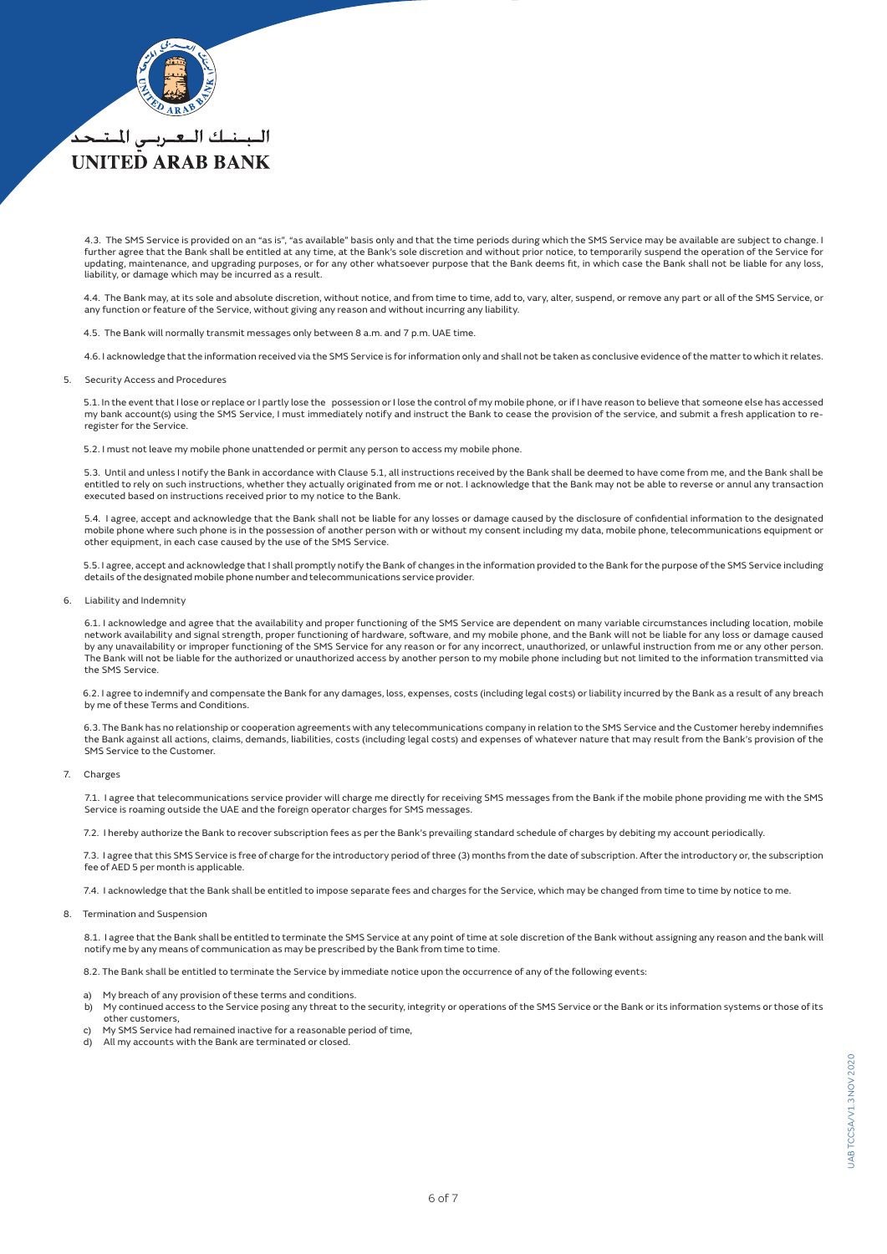

# **UNITED ARAB BANK**

 4.3. The SMS Service is provided on an "as is", "as available" basis only and that the time periods during which the SMS Service may be available are subject to change. I further agree that the Bank shall be entitled at any time, at the Bank's sole discretion and without prior notice, to temporarily suspend the operation of the Service for updating, maintenance, and upgrading purposes, or for any other whatsoever purpose that the Bank deems fit, in which case the Bank shall not be liable for any loss, liability, or damage which may be incurred as a result.

 4.4. The Bank may, at its sole and absolute discretion, without notice, and from time to time, add to, vary, alter, suspend, or remove any part or all of the SMS Service, or any function or feature of the Service, without giving any reason and without incurring any liability.

4.5. The Bank will normally transmit messages only between 8 a.m. and 7 p.m. UAE time.

4.6. I acknowledge that the information received via the SMS Service is for information only and shall not be taken as conclusive evidence of the matter to which it relates.

#### 5. Security Access and Procedures

5.1. In the event that I lose or replace or I partly lose the possession or I lose the control of my mobile phone, or if I have reason to believe that someone else has accessed<br>- my bank account(s) using the SMS Service, I register for the Service.

5.2. I must not leave my mobile phone unattended or permit any person to access my mobile phone.

 5.3. Until and unless I notify the Bank in accordance with Clause 5.1, all instructions received by the Bank shall be deemed to have come from me, and the Bank shall be entitled to rely on such instructions, whether they actually originated from me or not. I acknowledge that the Bank may not be able to reverse or annul any transaction executed based on instructions received prior to my notice to the Bank.

 5.4. I agree, accept and acknowledge that the Bank shall not be liable for any losses or damage caused by the disclosure of confidential information to the designated mobile phone where such phone is in the possession of another person with or without my consent including my data, mobile phone, telecommunications equipment or other equipment, in each case caused by the use of the SMS Service.

 5.5. I agree, accept and acknowledge that I shall promptly notify the Bank of changes in the information provided to the Bank for the purpose of the SMS Service including details of the designated mobile phone number and telecommunications service provider.

#### 6. Liability and Indemnity

 6.1. I acknowledge and agree that the availability and proper functioning of the SMS Service are dependent on many variable circumstances including location, mobile network availability and signal strength, proper functioning of hardware, software, and my mobile phone, and the Bank will not be liable for any loss or damage caused by any unavailability or improper functioning of the SMS Service for any reason or for any incorrect, unauthorized, or unlawful instruction from me or any other person. The Bank will not be liable for the authorized or unauthorized access by another person to my mobile phone including but not limited to the information transmitted via the SMS Service.

 6.2. I agree to indemnify and compensate the Bank for any damages, loss, expenses, costs (including legal costs) or liability incurred by the Bank as a result of any breach by me of these Terms and Conditions.

 6.3. The Bank has no relationship or cooperation agreements with any telecommunications company in relation to the SMS Service and the Customer hereby indemnifies the Bank against all actions, claims, demands, liabilities, costs (including legal costs) and expenses of whatever nature that may result from the Bank's provision of the SMS Service to the Customer.

#### 7. Charges

 7.1. I agree that telecommunications service provider will charge me directly for receiving SMS messages from the Bank if the mobile phone providing me with the SMS Service is roaming outside the UAE and the foreign operator charges for SMS messages.

7.2. I hereby authorize the Bank to recover subscription fees as per the Bank's prevailing standard schedule of charges by debiting my account periodically.

 7.3. I agree that this SMS Service is free of charge for the introductory period of three (3) months from the date of subscription. After the introductory or, the subscription fee of AED 5 per month is applicable.

7.4. I acknowledge that the Bank shall be entitled to impose separate fees and charges for the Service, which may be changed from time to time by notice to me.

#### 8. Termination and Suspension

8.1. I agree that the Bank shall be entitled to terminate the SMS Service at any point of time at sole discretion of the Bank without assigning any reason and the bank will notify me by any means of communication as may be prescribed by the Bank from time to time.

8.2. The Bank shall be entitled to terminate the Service by immediate notice upon the occurrence of any of the following events:

- a) My breach of any provision of these terms and conditions.
- b) My continued access to the Service posing any threat to the security, integrity or operations of the SMS Service or the Bank or its information systems or those of its other customers,
- My SMS Service had remained inactive for a reasonable period of time,
- d) All my accounts with the Bank are terminated or closed.